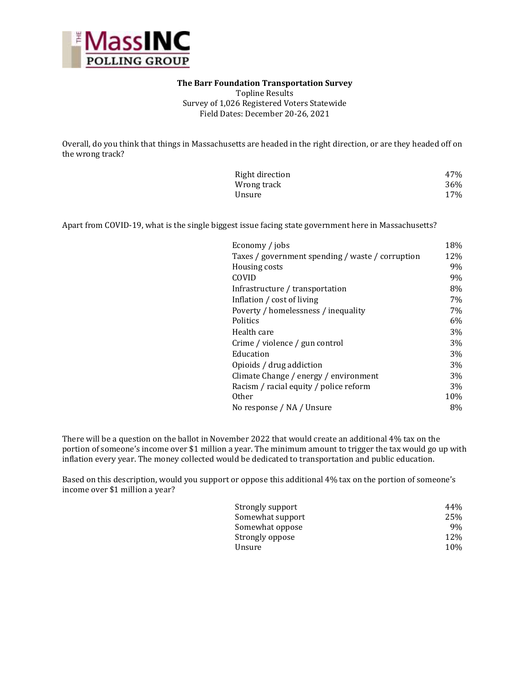

#### **The Barr Foundation Transportation Survey**

Topline Results Survey of 1,026 Registered Voters Statewide Field Dates: December 20-26, 2021

Overall, do you think that things in Massachusetts are headed in the right direction, or are they headed off on the wrong track?

| Right direction | 47% |
|-----------------|-----|
| Wrong track     | 36% |
| Unsure          | 17% |

Apart from COVID-19, what is the single biggest issue facing state government here in Massachusetts?

| Economy / jobs                                   | 18% |
|--------------------------------------------------|-----|
| Taxes / government spending / waste / corruption | 12% |
| Housing costs                                    | 9%  |
| COVID                                            | 9%  |
| Infrastructure / transportation                  | 8%  |
| Inflation / cost of living                       | 7%  |
| Poverty / homelessness / inequality              | 7%  |
| Politics                                         | 6%  |
| Health care                                      | 3%  |
| Crime / violence / gun control                   | 3%  |
| Education                                        | 3%  |
| Opioids / drug addiction                         | 3%  |
| Climate Change / energy / environment            | 3%  |
| Racism / racial equity / police reform           | 3%  |
| 0ther                                            | 10% |
| No response / NA / Unsure                        | 8%  |

There will be a question on the ballot in November 2022 that would create an additional 4% tax on the portion of someone's income over \$1 million a year. The minimum amount to trigger the tax would go up with inflation every year. The money collected would be dedicated to transportation and public education.

Based on this description, would you support or oppose this additional 4% tax on the portion of someone's income over \$1 million a year?

| Strongly support | 44%  |
|------------------|------|
| Somewhat support | 25%  |
| Somewhat oppose  | 9%   |
| Strongly oppose  | 12\% |
| Unsure           | 10%  |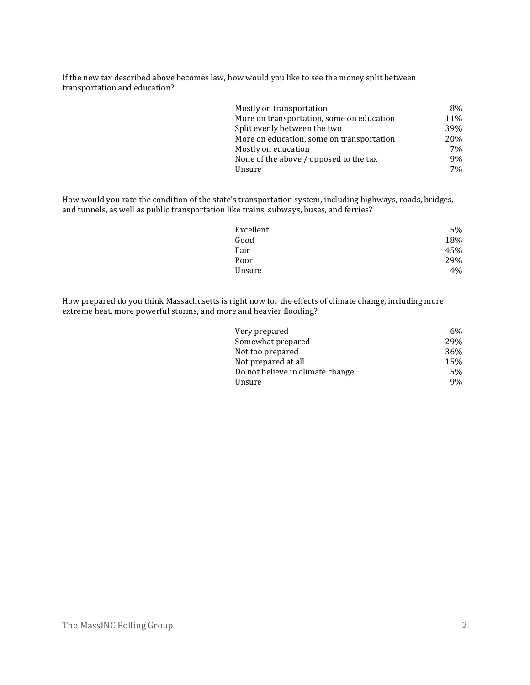If the new tax described above becomes law, how would you like to see the money split between transportation and education?

| Mostly on transportation                  | 8%  |
|-------------------------------------------|-----|
| More on transportation, some on education | 11% |
| Split evenly between the two              | 39% |
| More on education, some on transportation | 20% |
| Mostly on education                       | 7%  |
| None of the above / opposed to the tax    | 9%  |
| Unsure                                    | 7%  |

How would you rate the condition of the state's transportation system, including highways, roads, bridges, and tunnels, as well as public transportation like trains, subways, buses, and ferries?

| Excellent | 5%  |
|-----------|-----|
| Good      | 18% |
| Fair      | 45% |
| Poor      | 29% |
| Unsure    | 4%  |

How prepared do you think Massachusetts is right now for the effects of climate change, including more extreme heat, more powerful storms, and more and heavier flooding?

| Very prepared                    | 6%  |
|----------------------------------|-----|
| Somewhat prepared                | 29% |
| Not too prepared                 | 36% |
| Not prepared at all              | 15% |
| Do not believe in climate change | 5%  |
| Unsure                           | 9%  |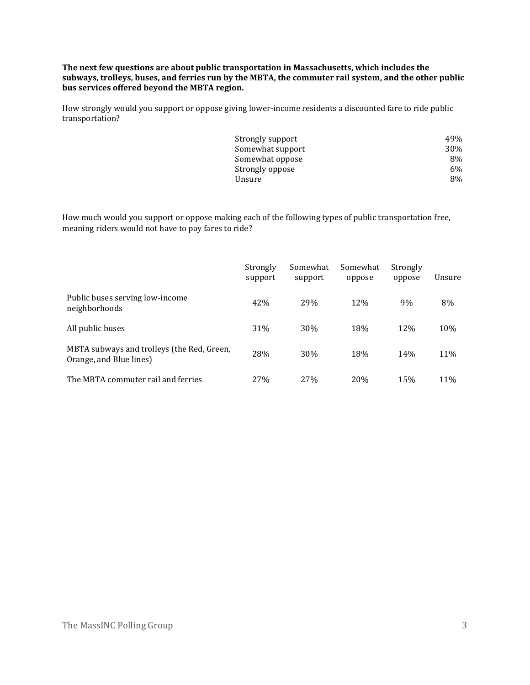**The next few questions are about public transportation in Massachusetts, which includes the subways, trolleys, buses, and ferries run by the MBTA, the commuter rail system, and the other public bus services offered beyond the MBTA region.**

How strongly would you support or oppose giving lower-income residents a discounted fare to ride public transportation?

| Strongly support | 49%        |
|------------------|------------|
| Somewhat support | <b>30%</b> |
| Somewhat oppose  | 8%         |
| Strongly oppose  | 6%         |
| Unsure           | 8%         |
|                  |            |

How much would you support or oppose making each of the following types of public transportation free, meaning riders would not have to pay fares to ride?

|                                                                       | Strongly<br>support | Somewhat<br>support | Somewhat<br>oppose | Strongly<br>oppose | Unsure |
|-----------------------------------------------------------------------|---------------------|---------------------|--------------------|--------------------|--------|
| Public buses serving low-income<br>neighborhoods                      | 42%                 | 29%                 | 12%                | 9%                 | 8%     |
| All public buses                                                      | 31%                 | 30%                 | 18%                | 12%                | 10%    |
| MBTA subways and trolleys (the Red, Green,<br>Orange, and Blue lines) | 28%                 | 30%                 | 18%                | 14%                | 11%    |
| The MBTA commuter rail and ferries                                    | 27%                 | 27 <sub>%</sub>     | 20%                | 15%                | 11%    |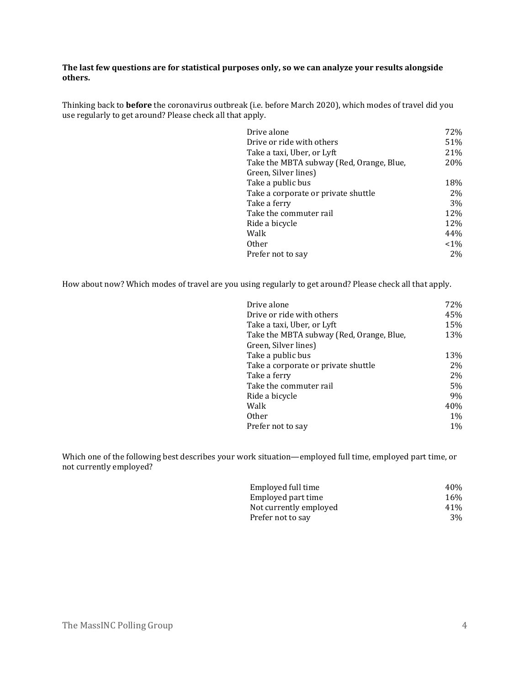### **The last few questions are for statistical purposes only, so we can analyze your results alongside others.**

Thinking back to **before** the coronavirus outbreak (i.e. before March 2020), which modes of travel did you use regularly to get around? Please check all that apply.

| Drive alone                              | 72%   |
|------------------------------------------|-------|
| Drive or ride with others                | 51%   |
| Take a taxi, Uber, or Lyft               | 21%   |
| Take the MBTA subway (Red, Orange, Blue, | 20%   |
| Green, Silver lines)                     |       |
| Take a public bus                        | 18%   |
| Take a corporate or private shuttle      | 2%    |
| Take a ferry                             | 3%    |
| Take the commuter rail                   | 12%   |
| Ride a bicycle                           | 12%   |
| Walk                                     | 44%   |
| 0ther                                    | $1\%$ |
| Prefer not to say                        | 2%    |
|                                          |       |

How about now? Which modes of travel are you using regularly to get around? Please check all that apply.

| Drive alone                              | 72%   |
|------------------------------------------|-------|
| Drive or ride with others                | 45%   |
| Take a taxi, Uber, or Lyft               | 15%   |
| Take the MBTA subway (Red, Orange, Blue, | 13%   |
| Green, Silver lines)                     |       |
| Take a public bus                        | 13%   |
| Take a corporate or private shuttle      | 2%    |
| Take a ferry                             | 2%    |
| Take the commuter rail                   | 5%    |
| Ride a bicycle                           | 9%    |
| Walk                                     | 40%   |
| <b>Other</b>                             | $1\%$ |
| Prefer not to say                        | $1\%$ |

Which one of the following best describes your work situation—employed full time, employed part time, or not currently employed?

| Employed full time     | 40% |
|------------------------|-----|
| Employed part time     | 16% |
| Not currently employed | 41% |
| Prefer not to say      | 3%  |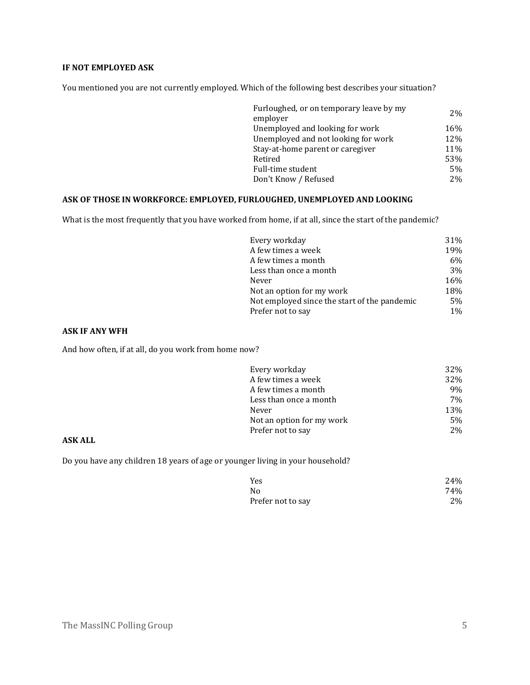# **IF NOT EMPLOYED ASK**

You mentioned you are not currently employed. Which of the following best describes your situation?

| Furloughed, or on temporary leave by my | 2%    |
|-----------------------------------------|-------|
| employer                                |       |
| Unemployed and looking for work         | 16%   |
| Unemployed and not looking for work     | 12%   |
| Stay-at-home parent or caregiver        | 11%   |
| Retired                                 | 53%   |
| Full-time student                       | 5%    |
| Don't Know / Refused                    | $2\%$ |

### **ASK OF THOSE IN WORKFORCE: EMPLOYED, FURLOUGHED, UNEMPLOYED AND LOOKING**

What is the most frequently that you have worked from home, if at all, since the start of the pandemic?

| Every workday                                | 31%   |
|----------------------------------------------|-------|
| A few times a week                           | 19%   |
| A few times a month                          | 6%    |
| Less than once a month                       | 3%    |
| Never                                        | 16%   |
| Not an option for my work                    | 18%   |
| Not employed since the start of the pandemic | 5%    |
| Prefer not to say                            | $1\%$ |

### **ASK IF ANY WFH**

And how often, if at all, do you work from home now?

| Every workday             | 32% |
|---------------------------|-----|
| A few times a week        | 32% |
| A few times a month       | 9%  |
| Less than once a month    | 7%  |
| Never                     | 13% |
| Not an option for my work | 5%  |
| Prefer not to say         | 2%  |

### **ASK ALL**

Do you have any children 18 years of age or younger living in your household?

| Yes               | 24% |
|-------------------|-----|
| No                | 74% |
| Prefer not to say | 2%  |